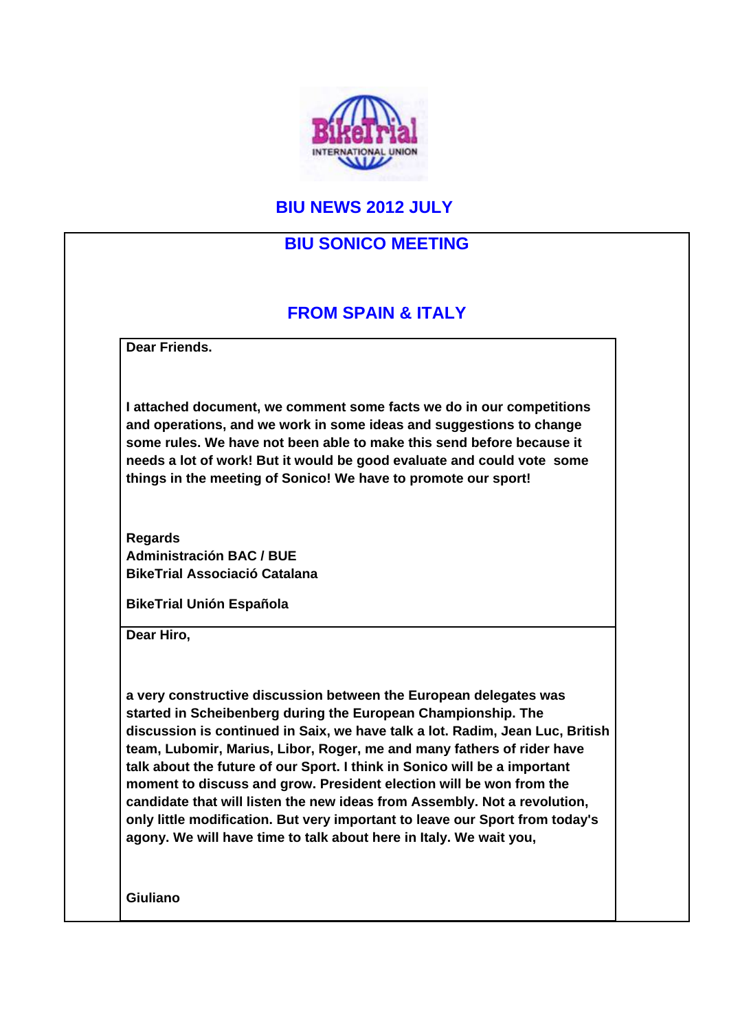

### **BIU NEWS 2012 JULY**

#### **BIU SONICO MEETING**

## **FROM SPAIN & ITALY**

**Dear Friends.**

**I attached document, we comment some facts we do in our competitions and operations, and we work in some ideas and suggestions to change some rules. We have not been able to make this send before because it needs a lot of work! But it would be good evaluate and could vote some things in the meeting of Sonico! We have to promote our sport!** 

**Regards Administración BAC / BUE BikeTrial Associació Catalana** 

**BikeTrial Unión Española**

**Dear Hiro,**

**a very constructive discussion between the European delegates was started in Scheibenberg during the European Championship. The discussion is continued in Saix, we have talk a lot. Radim, Jean Luc, British team, Lubomir, Marius, Libor, Roger, me and many fathers of rider have talk about the future of our Sport. I think in Sonico will be a important moment to discuss and grow. President election will be won from the candidate that will listen the new ideas from Assembly. Not a revolution, only little modification. But very important to leave our Sport from today's agony. We will have time to talk about here in Italy. We wait you,** 

**Giuliano**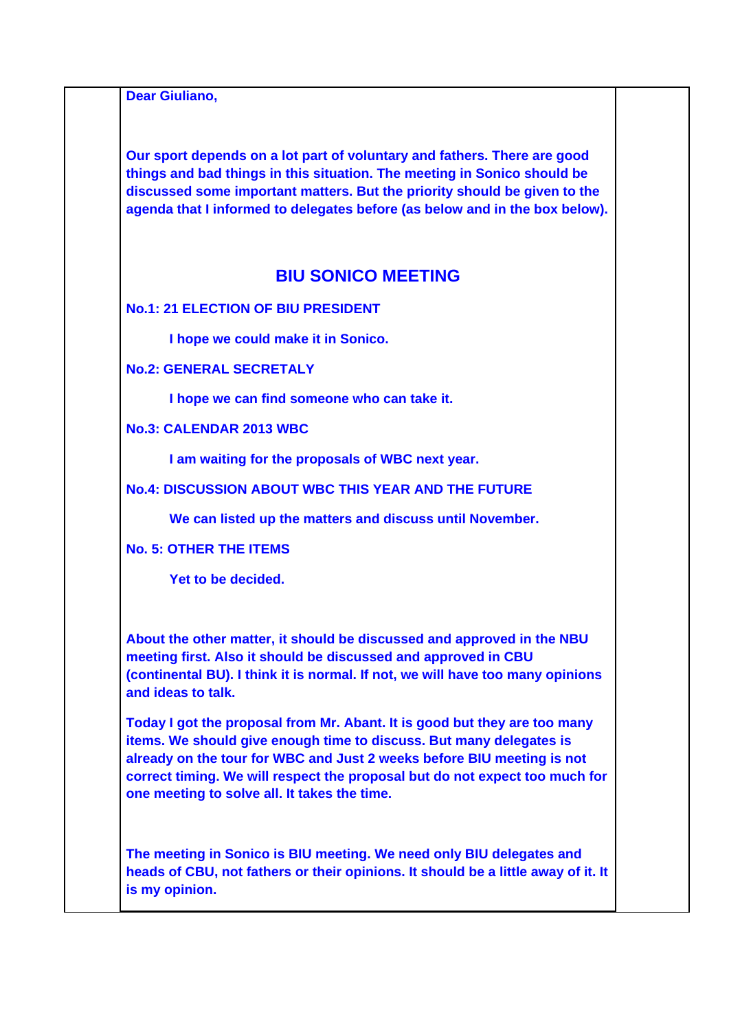**Dear Giuliano,**

**Our sport depends on a lot part of voluntary and fathers. There are good things and bad things in this situation. The meeting in Sonico should be discussed some important matters. But the priority should be given to the agenda that I informed to delegates before (as below and in the box below).** 

#### **BIU SONICO MEETING**

**No.1: 21 ELECTION OF BIU PRESIDENT** 

**I hope we could make it in Sonico.** 

**No.2: GENERAL SECRETALY** 

**I hope we can find someone who can take it.** 

**No.3: CALENDAR 2013 WBC** 

**I am waiting for the proposals of WBC next year.** 

**No.4: DISCUSSION ABOUT WBC THIS YEAR AND THE FUTURE** 

**We can listed up the matters and discuss until November.** 

**No. 5: OTHER THE ITEMS** 

**Yet to be decided.** 

**About the other matter, it should be discussed and approved in the NBU meeting first. Also it should be discussed and approved in CBU (continental BU). I think it is normal. If not, we will have too many opinions and ideas to talk.** 

**Today I got the proposal from Mr. Abant. It is good but they are too many items. We should give enough time to discuss. But many delegates is already on the tour for WBC and Just 2 weeks before BIU meeting is not correct timing. We will respect the proposal but do not expect too much for one meeting to solve all. It takes the time.** 

**The meeting in Sonico is BIU meeting. We need only BIU delegates and heads of CBU, not fathers or their opinions. It should be a little away of it. It is my opinion.**